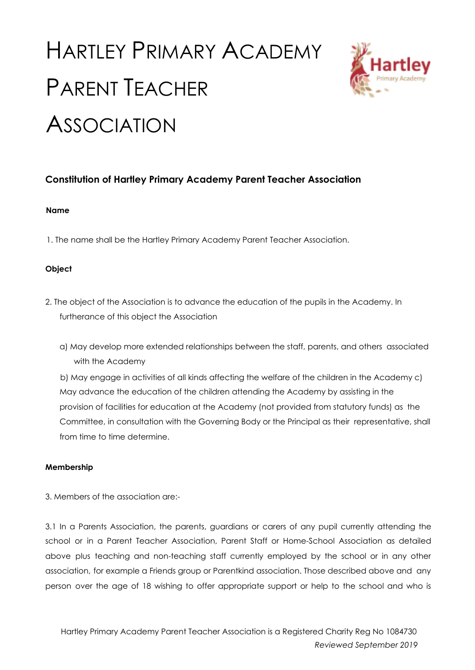# HARTLEY PRIMARY ACADEMY PARENT TEACHER **ASSOCIATION**



# **Constitution of Hartley Primary Academy Parent Teacher Association**

## **Name**

1. The name shall be the Hartley Primary Academy Parent Teacher Association.

# **Object**

- 2. The object of the Association is to advance the education of the pupils in the Academy. In furtherance of this object the Association
	- a) May develop more extended relationships between the staff, parents, and others associated with the Academy

b) May engage in activities of all kinds affecting the welfare of the children in the Academy c) May advance the education of the children attending the Academy by assisting in the provision of facilities for education at the Academy (not provided from statutory funds) as the Committee, in consultation with the Governing Body or the Principal as their representative, shall from time to time determine.

#### **Membership**

3. Members of the association are:-

3.1 In a Parents Association, the parents, guardians or carers of any pupil currently attending the school or in a Parent Teacher Association, Parent Staff or Home-School Association as detailed above plus teaching and non-teaching staff currently employed by the school or in any other association, for example a Friends group or Parentkind association. Those described above and any person over the age of 18 wishing to offer appropriate support or help to the school and who is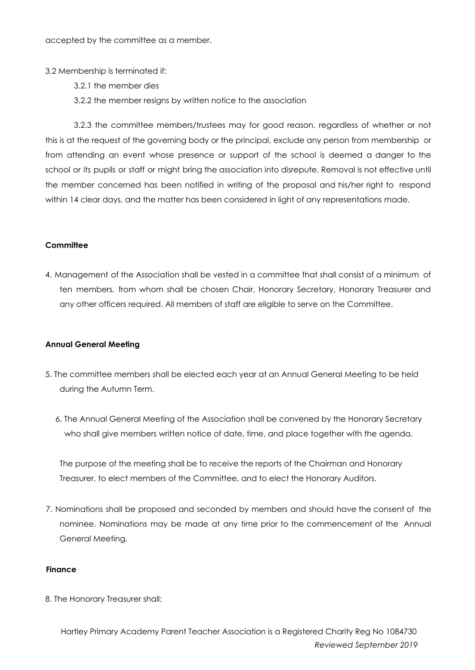accepted by the committee as a member.

- 3.2 Membership is terminated if:
	- 3.2.1 the member dies
	- 3.2.2 the member resigns by written notice to the association

3.2.3 the committee members/trustees may for good reason, regardless of whether or not this is at the request of the governing body or the principal, exclude any person from membership or from attending an event whose presence or support of the school is deemed a danger to the school or its pupils or staff or might bring the association into disrepute. Removal is not effective until the member concerned has been notified in writing of the proposal and his/her right to respond within 14 clear days, and the matter has been considered in light of any representations made.

#### **Committee**

4. Management of the Association shall be vested in a committee that shall consist of a minimum of ten members, from whom shall be chosen Chair, Honorary Secretary, Honorary Treasurer and any other officers required. All members of staff are eligible to serve on the Committee.

#### **Annual General Meeting**

- 5. The committee members shall be elected each year at an Annual General Meeting to be held during the Autumn Term.
	- 6. The Annual General Meeting of the Association shall be convened by the Honorary Secretary who shall give members written notice of date, time, and place together with the agenda.

The purpose of the meeting shall be to receive the reports of the Chairman and Honorary Treasurer, to elect members of the Committee, and to elect the Honorary Auditors.

7. Nominations shall be proposed and seconded by members and should have the consent of the nominee. Nominations may be made at any time prior to the commencement of the Annual General Meeting.

#### **Finance**

8. The Honorary Treasurer shall: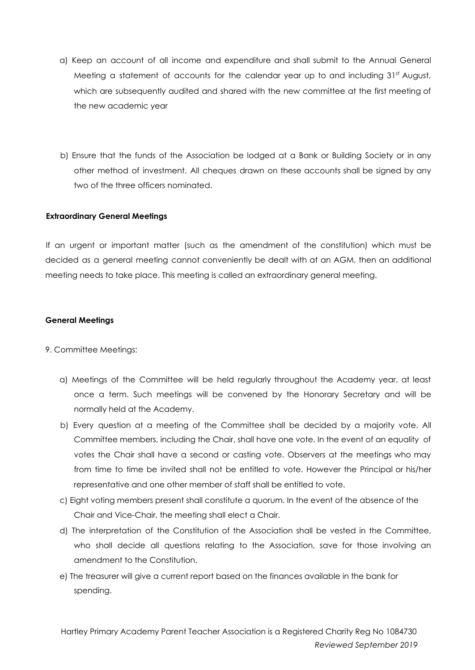- a) Keep an account of all income and expenditure and shall submit to the Annual General Meeting a statement of accounts for the calendar year up to and including 31st August, which are subsequently audited and shared with the new committee at the first meeting of the new academic year
- b) Ensure that the funds of the Association be lodged at a Bank or Building Society or in any other method of investment. All cheques drawn on these accounts shall be signed by any two of the three officers nominated.

#### **Extraordinary General Meetings**

If an urgent or important matter (such as the amendment of the constitution) which must be decided as a general meeting cannot conveniently be dealt with at an AGM, then an additional meeting needs to take place. This meeting is called an extraordinary general meeting.

## **General Meetings**

#### 9. Committee Meetings:

- a) Meetings of the Committee will be held regularly throughout the Academy year, at least once a term. Such meetings will be convened by the Honorary Secretary and will be normally held at the Academy.
- b) Every question at a meeting of the Committee shall be decided by a majority vote. All Committee members, including the Chair, shall have one vote. In the event of an equality of votes the Chair shall have a second or casting vote. Observers at the meetings who may from time to time be invited shall not be entitled to vote. However the Principal or his/her representative and one other member of staff shall be entitled to vote.
- c) Eight voting members present shall constitute a quorum. In the event of the absence of the Chair and Vice-Chair, the meeting shall elect a Chair.
- d) The interpretation of the Constitution of the Association shall be vested in the Committee, who shall decide all questions relating to the Association, save for those involving an amendment to the Constitution.
- e) The treasurer will give a current report based on the finances available in the bank for spending.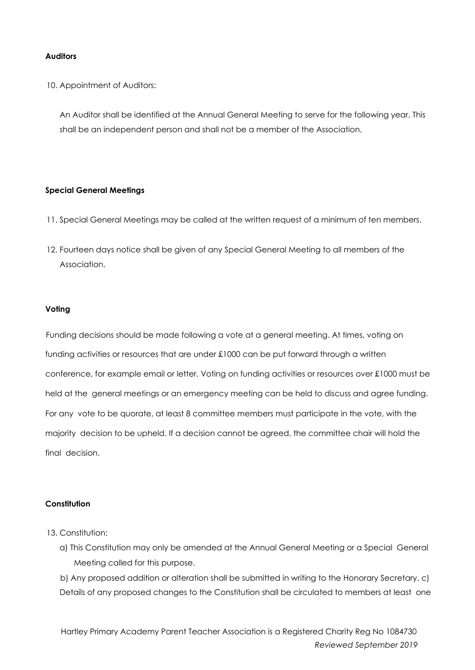## **Auditors**

10. Appointment of Auditors:

An Auditor shall be identified at the Annual General Meeting to serve for the following year. This shall be an independent person and shall not be a member of the Association.

#### **Special General Meetings**

- 11. Special General Meetings may be called at the written request of a minimum of ten members.
- 12. Fourteen days notice shall be given of any Special General Meeting to all members of the Association.

## **Voting**

Funding decisions should be made following a vote at a general meeting. At times, voting on funding activities or resources that are under £1000 can be put forward through a written conference, for example email or letter. Voting on funding activities or resources over £1000 must be held at the general meetings or an emergency meeting can be held to discuss and agree funding. For any vote to be quorate, at least 8 committee members must participate in the vote, with the majority decision to be upheld. If a decision cannot be agreed, the committee chair will hold the final decision.

#### **Constitution**

- 13. Constitution:
	- a) This Constitution may only be amended at the Annual General Meeting or a Special General Meeting called for this purpose.

b) Any proposed addition or alteration shall be submitted in writing to the Honorary Secretary. c) Details of any proposed changes to the Constitution shall be circulated to members at least one